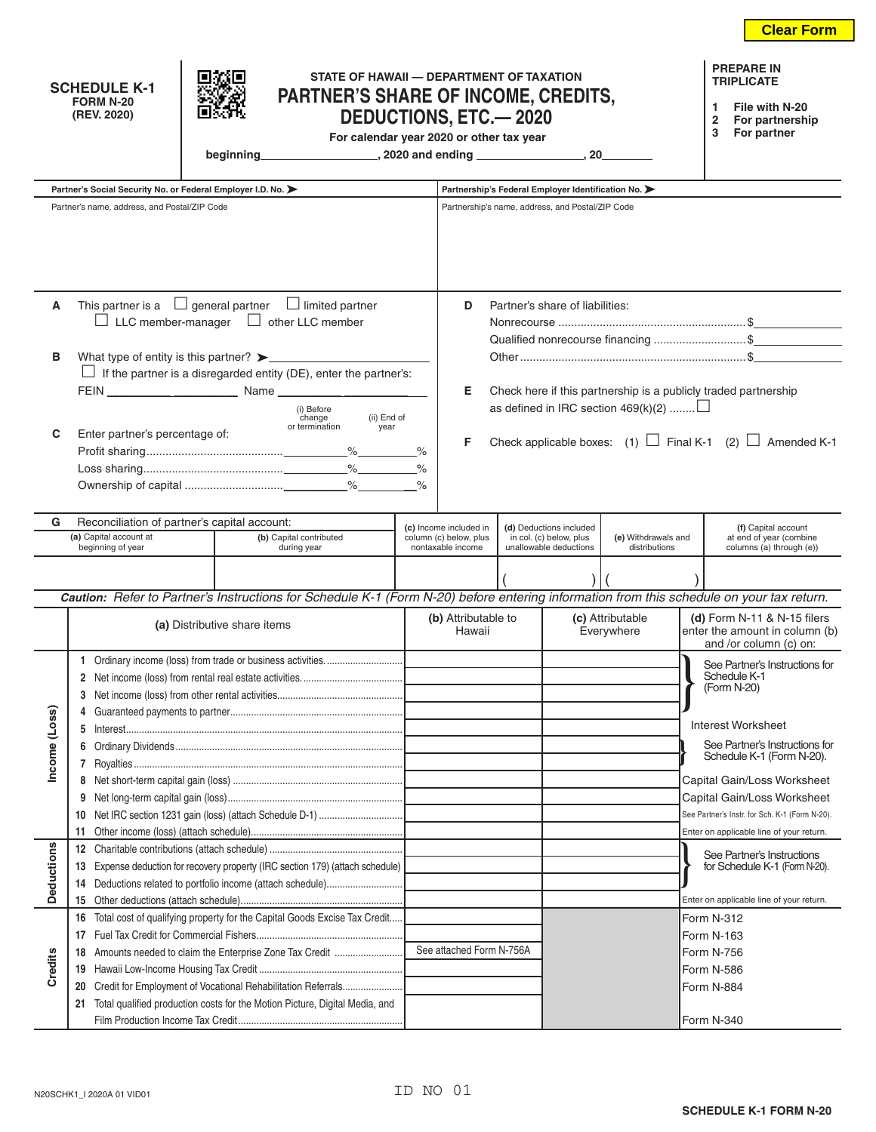| STATE OF HAWAII - DEPARTMENT OF TAXATION<br><b>SCHEDULE K-1</b><br>PARTNER'S SHARE OF INCOME, CREDITS,<br><b>FORM N-20</b><br>(REV. 2020)<br><b>DEDUCTIONS, ETC.-2020</b><br>For calendar year 2020 or other tax year |                                                                                                                                                                                                                                                                                                                                                                                    |  |                          |                                             |                                                                                                                                          |                                                                                                                                                                                                                                                                         |                          |                                          |                                                     | <b>PREPARE IN</b><br><b>TRIPLICATE</b><br>File with N-20<br>1<br>2<br>For partnership<br>3<br>For partner |  |
|-----------------------------------------------------------------------------------------------------------------------------------------------------------------------------------------------------------------------|------------------------------------------------------------------------------------------------------------------------------------------------------------------------------------------------------------------------------------------------------------------------------------------------------------------------------------------------------------------------------------|--|--------------------------|---------------------------------------------|------------------------------------------------------------------------------------------------------------------------------------------|-------------------------------------------------------------------------------------------------------------------------------------------------------------------------------------------------------------------------------------------------------------------------|--------------------------|------------------------------------------|-----------------------------------------------------|-----------------------------------------------------------------------------------------------------------|--|
|                                                                                                                                                                                                                       | Partner's Social Security No. or Federal Employer I.D. No. >                                                                                                                                                                                                                                                                                                                       |  |                          |                                             | Partnership's Federal Employer Identification No.                                                                                        |                                                                                                                                                                                                                                                                         |                          |                                          |                                                     |                                                                                                           |  |
|                                                                                                                                                                                                                       | Partner's name, address, and Postal/ZIP Code                                                                                                                                                                                                                                                                                                                                       |  |                          |                                             | Partnership's name, address, and Postal/ZIP Code                                                                                         |                                                                                                                                                                                                                                                                         |                          |                                          |                                                     |                                                                                                           |  |
| А<br>в<br>С                                                                                                                                                                                                           | This partner is a $\Box$ general partner $\Box$ limited partner<br>$\Box$ LLC member-manager $\Box$ other LLC member<br>What type of entity is this partner? $\blacktriangleright$<br>$\Box$ If the partner is a disregarded entity (DE), enter the partner's:<br>(i) Before<br>(ii) End of<br>change<br>or termination<br>year<br>Enter partner's percentage of:<br>$\frac{1}{6}$ |  |                          |                                             |                                                                                                                                          | D<br>Partner's share of liabilities:<br>Qualified nonrecourse financing \$<br>Check here if this partnership is a publicly traded partnership<br>Е<br>as defined in IRC section $469(k)(2)$<br>Check applicable boxes: (1) $\Box$ Final K-1 (2) $\Box$ Amended K-1<br>F |                          |                                          |                                                     |                                                                                                           |  |
|                                                                                                                                                                                                                       |                                                                                                                                                                                                                                                                                                                                                                                    |  |                          |                                             |                                                                                                                                          |                                                                                                                                                                                                                                                                         |                          |                                          |                                                     |                                                                                                           |  |
| G.                                                                                                                                                                                                                    | Reconciliation of partner's capital account:                                                                                                                                                                                                                                                                                                                                       |  | (c) Income included in   |                                             | (d) Deductions included                                                                                                                  |                                                                                                                                                                                                                                                                         |                          | (f) Capital account                      |                                                     |                                                                                                           |  |
| (a) Capital account at<br>(b) Capital contributed<br>beginning of year<br>during year                                                                                                                                 |                                                                                                                                                                                                                                                                                                                                                                                    |  |                          | column (c) below, plus<br>nontaxable income |                                                                                                                                          | in col. (c) below, plus<br>(e) Withdrawals and<br>unallowable deductions<br>distributions                                                                                                                                                                               |                          |                                          | at end of year (combine<br>columns (a) through (e)) |                                                                                                           |  |
|                                                                                                                                                                                                                       |                                                                                                                                                                                                                                                                                                                                                                                    |  |                          |                                             |                                                                                                                                          |                                                                                                                                                                                                                                                                         |                          |                                          |                                                     |                                                                                                           |  |
|                                                                                                                                                                                                                       |                                                                                                                                                                                                                                                                                                                                                                                    |  |                          |                                             |                                                                                                                                          |                                                                                                                                                                                                                                                                         |                          |                                          |                                                     |                                                                                                           |  |
|                                                                                                                                                                                                                       |                                                                                                                                                                                                                                                                                                                                                                                    |  |                          |                                             | Caution: Refer to Partner's Instructions for Schedule K-1 (Form N-20) before entering information from this schedule on your tax return. |                                                                                                                                                                                                                                                                         |                          |                                          |                                                     |                                                                                                           |  |
|                                                                                                                                                                                                                       | (a) Distributive share items                                                                                                                                                                                                                                                                                                                                                       |  |                          |                                             | (b) Attributable to<br>Hawaii                                                                                                            |                                                                                                                                                                                                                                                                         |                          | (c) Attributable<br>Everywhere           |                                                     | (d) Form $N-11$ & $N-15$ filers<br>enter the amount in column (b)<br>and /or column (c) on:               |  |
| Income (Loss)                                                                                                                                                                                                         |                                                                                                                                                                                                                                                                                                                                                                                    |  |                          |                                             |                                                                                                                                          |                                                                                                                                                                                                                                                                         |                          |                                          |                                                     | See Partner's Instructions for                                                                            |  |
|                                                                                                                                                                                                                       |                                                                                                                                                                                                                                                                                                                                                                                    |  |                          |                                             |                                                                                                                                          |                                                                                                                                                                                                                                                                         |                          |                                          |                                                     | Schedule K-1<br>(Form N-20)                                                                               |  |
|                                                                                                                                                                                                                       | 3                                                                                                                                                                                                                                                                                                                                                                                  |  |                          |                                             |                                                                                                                                          |                                                                                                                                                                                                                                                                         |                          |                                          |                                                     |                                                                                                           |  |
|                                                                                                                                                                                                                       | 5                                                                                                                                                                                                                                                                                                                                                                                  |  |                          |                                             |                                                                                                                                          |                                                                                                                                                                                                                                                                         |                          |                                          |                                                     | Interest Worksheet                                                                                        |  |
|                                                                                                                                                                                                                       |                                                                                                                                                                                                                                                                                                                                                                                    |  |                          |                                             |                                                                                                                                          |                                                                                                                                                                                                                                                                         |                          |                                          |                                                     | See Partner's Instructions for<br>Schedule K-1 (Form N-20).                                               |  |
|                                                                                                                                                                                                                       |                                                                                                                                                                                                                                                                                                                                                                                    |  |                          |                                             |                                                                                                                                          |                                                                                                                                                                                                                                                                         |                          |                                          |                                                     | Capital Gain/Loss Worksheet                                                                               |  |
|                                                                                                                                                                                                                       | 9                                                                                                                                                                                                                                                                                                                                                                                  |  |                          |                                             |                                                                                                                                          |                                                                                                                                                                                                                                                                         |                          |                                          |                                                     | Capital Gain/Loss Worksheet                                                                               |  |
|                                                                                                                                                                                                                       | 10                                                                                                                                                                                                                                                                                                                                                                                 |  |                          |                                             |                                                                                                                                          |                                                                                                                                                                                                                                                                         |                          |                                          |                                                     | See Partner's Instr. for Sch. K-1 (Form N-20).                                                            |  |
|                                                                                                                                                                                                                       | 11                                                                                                                                                                                                                                                                                                                                                                                 |  |                          |                                             |                                                                                                                                          |                                                                                                                                                                                                                                                                         |                          |                                          |                                                     | Enter on applicable line of your return.                                                                  |  |
| <b>Deductions</b><br>Credits                                                                                                                                                                                          | 12                                                                                                                                                                                                                                                                                                                                                                                 |  |                          |                                             |                                                                                                                                          |                                                                                                                                                                                                                                                                         |                          |                                          |                                                     | See Partner's Instructions                                                                                |  |
|                                                                                                                                                                                                                       | Expense deduction for recovery property (IRC section 179) (attach schedule)<br>13                                                                                                                                                                                                                                                                                                  |  |                          |                                             |                                                                                                                                          |                                                                                                                                                                                                                                                                         |                          |                                          |                                                     | for Schedule K-1 (Form N-20).                                                                             |  |
|                                                                                                                                                                                                                       | 14                                                                                                                                                                                                                                                                                                                                                                                 |  |                          |                                             |                                                                                                                                          |                                                                                                                                                                                                                                                                         |                          |                                          |                                                     |                                                                                                           |  |
|                                                                                                                                                                                                                       | 15                                                                                                                                                                                                                                                                                                                                                                                 |  |                          |                                             |                                                                                                                                          |                                                                                                                                                                                                                                                                         |                          | Enter on applicable line of your return. |                                                     |                                                                                                           |  |
|                                                                                                                                                                                                                       | Total cost of qualifying property for the Capital Goods Excise Tax Credit<br>16<br>17                                                                                                                                                                                                                                                                                              |  |                          |                                             |                                                                                                                                          |                                                                                                                                                                                                                                                                         | Form N-312<br>Form N-163 |                                          |                                                     |                                                                                                           |  |
|                                                                                                                                                                                                                       | 18                                                                                                                                                                                                                                                                                                                                                                                 |  | See attached Form N-756A |                                             |                                                                                                                                          |                                                                                                                                                                                                                                                                         | Form N-756               |                                          |                                                     |                                                                                                           |  |
|                                                                                                                                                                                                                       | 19                                                                                                                                                                                                                                                                                                                                                                                 |  |                          |                                             |                                                                                                                                          |                                                                                                                                                                                                                                                                         |                          |                                          | Form N-586                                          |                                                                                                           |  |
|                                                                                                                                                                                                                       | 20                                                                                                                                                                                                                                                                                                                                                                                 |  |                          |                                             |                                                                                                                                          |                                                                                                                                                                                                                                                                         | Form N-884               |                                          |                                                     |                                                                                                           |  |
|                                                                                                                                                                                                                       | Total qualified production costs for the Motion Picture, Digital Media, and<br>21                                                                                                                                                                                                                                                                                                  |  |                          |                                             |                                                                                                                                          |                                                                                                                                                                                                                                                                         |                          |                                          |                                                     |                                                                                                           |  |
|                                                                                                                                                                                                                       |                                                                                                                                                                                                                                                                                                                                                                                    |  |                          |                                             |                                                                                                                                          |                                                                                                                                                                                                                                                                         | Form N-340               |                                          |                                                     |                                                                                                           |  |

**Clear Form**